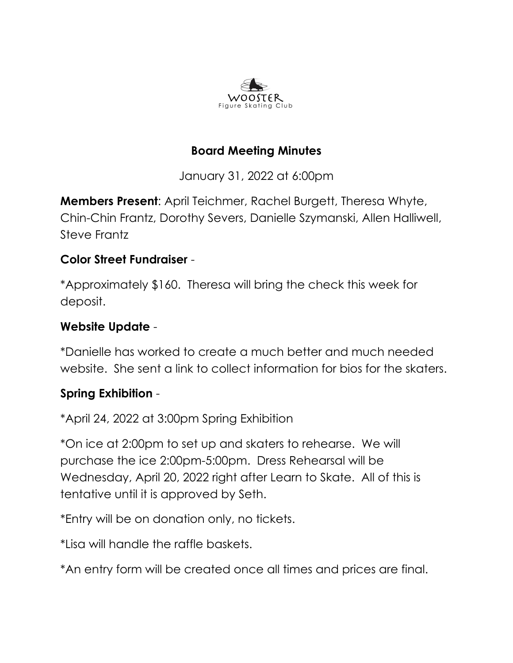

# **Board Meeting Minutes**

January 31, 2022 at 6:00pm

**Members Present**: April Teichmer, Rachel Burgett, Theresa Whyte, Chin-Chin Frantz, Dorothy Severs, Danielle Szymanski, Allen Halliwell, Steve Frantz

#### **Color Street Fundraiser** -

\*Approximately \$160. Theresa will bring the check this week for deposit.

#### **Website Update** -

\*Danielle has worked to create a much better and much needed website. She sent a link to collect information for bios for the skaters.

## **Spring Exhibition** -

\*April 24, 2022 at 3:00pm Spring Exhibition

\*On ice at 2:00pm to set up and skaters to rehearse. We will purchase the ice 2:00pm-5:00pm. Dress Rehearsal will be Wednesday, April 20, 2022 right after Learn to Skate. All of this is tentative until it is approved by Seth.

\*Entry will be on donation only, no tickets.

\*Lisa will handle the raffle baskets.

\*An entry form will be created once all times and prices are final.